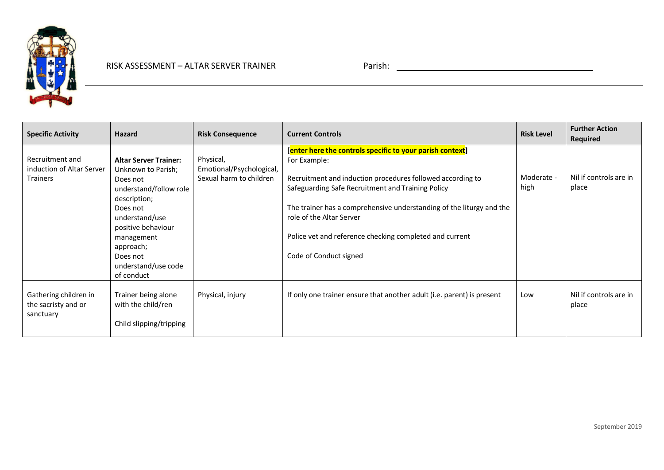

| <b>Specific Activity</b>                                        | Hazard                                                                                                                                                                                                                                   | <b>Risk Consequence</b>                                          | <b>Current Controls</b>                                                                                                                                                                                                                                                                                                                                                               | <b>Risk Level</b>  | <b>Further Action</b><br><b>Required</b> |
|-----------------------------------------------------------------|------------------------------------------------------------------------------------------------------------------------------------------------------------------------------------------------------------------------------------------|------------------------------------------------------------------|---------------------------------------------------------------------------------------------------------------------------------------------------------------------------------------------------------------------------------------------------------------------------------------------------------------------------------------------------------------------------------------|--------------------|------------------------------------------|
| Recruitment and<br>induction of Altar Server<br><b>Trainers</b> | <b>Altar Server Trainer:</b><br>Unknown to Parish;<br>Does not<br>understand/follow role<br>description;<br>Does not<br>understand/use<br>positive behaviour<br>management<br>approach;<br>Does not<br>understand/use code<br>of conduct | Physical,<br>Emotional/Psychological,<br>Sexual harm to children | [enter here the controls specific to your parish context]<br>For Example:<br>Recruitment and induction procedures followed according to<br>Safeguarding Safe Recruitment and Training Policy<br>The trainer has a comprehensive understanding of the liturgy and the<br>role of the Altar Server<br>Police vet and reference checking completed and current<br>Code of Conduct signed | Moderate -<br>high | Nil if controls are in<br>place          |
| Gathering children in<br>the sacristy and or<br>sanctuary       | Trainer being alone<br>with the child/ren<br>Child slipping/tripping                                                                                                                                                                     | Physical, injury                                                 | If only one trainer ensure that another adult (i.e. parent) is present                                                                                                                                                                                                                                                                                                                | Low                | Nil if controls are in<br>place          |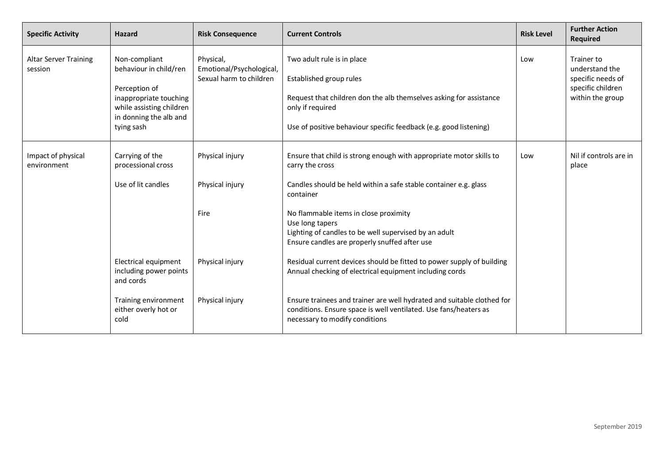| <b>Specific Activity</b>                | <b>Hazard</b>                                                                                                                                          | <b>Risk Consequence</b>                                          | <b>Current Controls</b>                                                                                                                                                                                                                                                                                                                       | <b>Risk Level</b> | <b>Further Action</b><br><b>Required</b>                                                   |
|-----------------------------------------|--------------------------------------------------------------------------------------------------------------------------------------------------------|------------------------------------------------------------------|-----------------------------------------------------------------------------------------------------------------------------------------------------------------------------------------------------------------------------------------------------------------------------------------------------------------------------------------------|-------------------|--------------------------------------------------------------------------------------------|
| <b>Altar Server Training</b><br>session | Non-compliant<br>behaviour in child/ren<br>Perception of<br>inappropriate touching<br>while assisting children<br>in donning the alb and<br>tying sash | Physical,<br>Emotional/Psychological,<br>Sexual harm to children | Two adult rule is in place<br>Established group rules<br>Request that children don the alb themselves asking for assistance<br>only if required<br>Use of positive behaviour specific feedback (e.g. good listening)                                                                                                                          | Low               | Trainer to<br>understand the<br>specific needs of<br>specific children<br>within the group |
| Impact of physical<br>environment       | Carrying of the<br>processional cross<br>Use of lit candles                                                                                            | Physical injury<br>Physical injury<br>Fire                       | Ensure that child is strong enough with appropriate motor skills to<br>carry the cross<br>Candles should be held within a safe stable container e.g. glass<br>container<br>No flammable items in close proximity<br>Use long tapers<br>Lighting of candles to be well supervised by an adult<br>Ensure candles are properly snuffed after use | Low               | Nil if controls are in<br>place                                                            |
|                                         | Electrical equipment<br>including power points<br>and cords<br>Training environment<br>either overly hot or<br>cold                                    | Physical injury<br>Physical injury                               | Residual current devices should be fitted to power supply of building<br>Annual checking of electrical equipment including cords<br>Ensure trainees and trainer are well hydrated and suitable clothed for<br>conditions. Ensure space is well ventilated. Use fans/heaters as<br>necessary to modify conditions                              |                   |                                                                                            |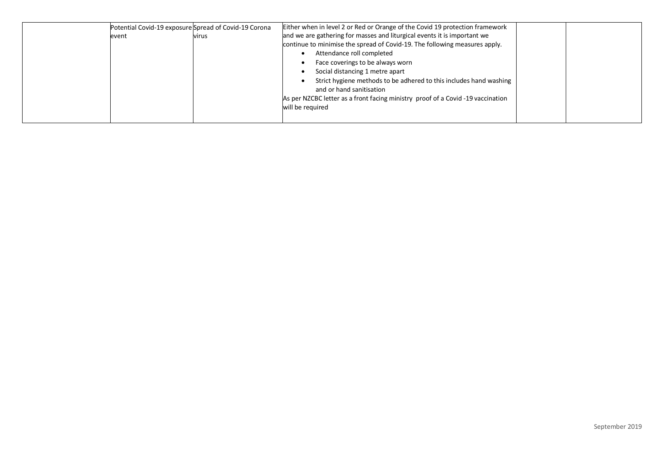|       | Potential Covid-19 exposure Spread of Covid-19 Corona | Either when in level 2 or Red or Orange of the Covid 19 protection framework   |
|-------|-------------------------------------------------------|--------------------------------------------------------------------------------|
| event | virus                                                 | and we are gathering for masses and liturgical events it is important we       |
|       |                                                       | continue to minimise the spread of Covid-19. The following measures apply.     |
|       |                                                       | Attendance roll completed                                                      |
|       |                                                       | Face coverings to be always worn                                               |
|       |                                                       | Social distancing 1 metre apart                                                |
|       |                                                       | Strict hygiene methods to be adhered to this includes hand washing             |
|       |                                                       | and or hand sanitisation                                                       |
|       |                                                       | As per NZCBC letter as a front facing ministry proof of a Covid-19 vaccination |
|       |                                                       | will be required                                                               |
|       |                                                       |                                                                                |